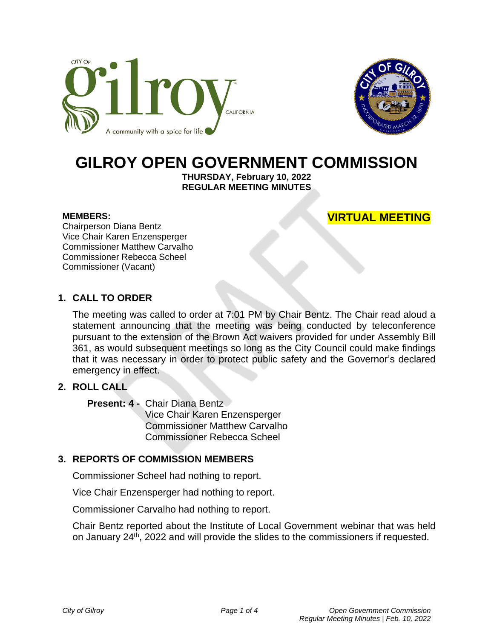



# **GILROY OPEN GOVERNMENT COMMISSION**

**THURSDAY, February 10, 2022 REGULAR MEETING MINUTES**

#### **MEMBERS:**

# **VIRTUAL MEETING**

Chairperson Diana Bentz Vice Chair Karen Enzensperger Commissioner Matthew Carvalho Commissioner Rebecca Scheel Commissioner (Vacant)

## **1. CALL TO ORDER**

The meeting was called to order at 7:01 PM by Chair Bentz. The Chair read aloud a statement announcing that the meeting was being conducted by teleconference pursuant to the extension of the Brown Act waivers provided for under Assembly Bill 361, as would subsequent meetings so long as the City Council could make findings that it was necessary in order to protect public safety and the Governor's declared emergency in effect.

# **2. ROLL CALL**

**Present: 4 -** Chair Diana Bentz

Vice Chair Karen Enzensperger Commissioner Matthew Carvalho Commissioner Rebecca Scheel

#### **3. REPORTS OF COMMISSION MEMBERS**

Commissioner Scheel had nothing to report.

Vice Chair Enzensperger had nothing to report.

Commissioner Carvalho had nothing to report.

Chair Bentz reported about the Institute of Local Government webinar that was held on January 24<sup>th</sup>, 2022 and will provide the slides to the commissioners if requested.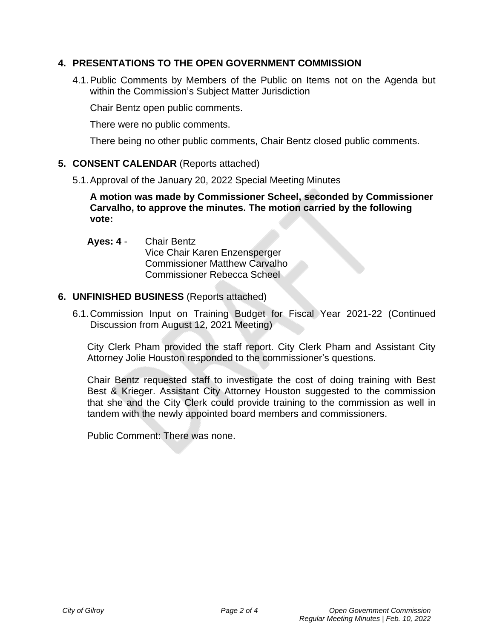# **4. PRESENTATIONS TO THE OPEN GOVERNMENT COMMISSION**

4.1.Public Comments by Members of the Public on Items not on the Agenda but within the Commission's Subject Matter Jurisdiction

Chair Bentz open public comments.

There were no public comments.

There being no other public comments, Chair Bentz closed public comments.

### **5. CONSENT CALENDAR** (Reports attached)

5.1.Approval of the January 20, 2022 Special Meeting Minutes

**A motion was made by Commissioner Scheel, seconded by Commissioner Carvalho, to approve the minutes. The motion carried by the following vote:**

**Ayes: 4** - Chair Bentz Vice Chair Karen Enzensperger Commissioner Matthew Carvalho Commissioner Rebecca Scheel

#### **6. UNFINISHED BUSINESS** (Reports attached)

6.1.Commission Input on Training Budget for Fiscal Year 2021-22 (Continued Discussion from August 12, 2021 Meeting)

City Clerk Pham provided the staff report. City Clerk Pham and Assistant City Attorney Jolie Houston responded to the commissioner's questions.

Chair Bentz requested staff to investigate the cost of doing training with Best Best & Krieger. Assistant City Attorney Houston suggested to the commission that she and the City Clerk could provide training to the commission as well in tandem with the newly appointed board members and commissioners.

Public Comment: There was none.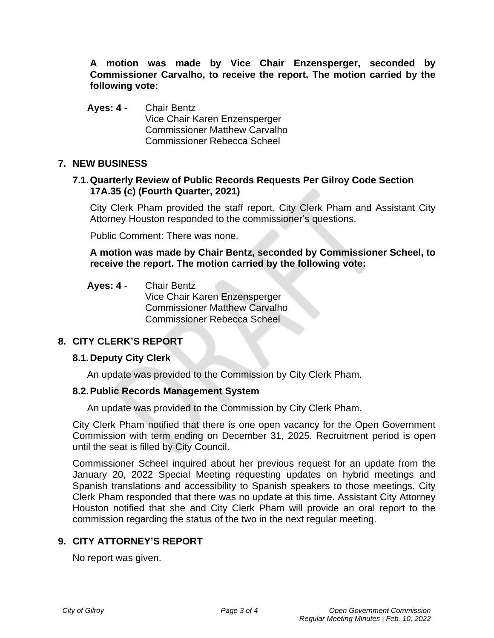**A motion was made by Vice Chair Enzensperger, seconded by Commissioner Carvalho, to receive the report. The motion carried by the following vote:**

**Ayes: 4** - Chair Bentz Vice Chair Karen Enzensperger Commissioner Matthew Carvalho Commissioner Rebecca Scheel

## **7. NEW BUSINESS**

## **7.1.Quarterly Review of Public Records Requests Per Gilroy Code Section 17A.35 (c) (Fourth Quarter, 2021)**

City Clerk Pham provided the staff report. City Clerk Pham and Assistant City Attorney Houston responded to the commissioner's questions.

Public Comment: There was none.

**A motion was made by Chair Bentz, seconded by Commissioner Scheel, to receive the report. The motion carried by the following vote:**

# **Ayes: 4** - Chair Bentz

Vice Chair Karen Enzensperger Commissioner Matthew Carvalho Commissioner Rebecca Scheel

# **8. CITY CLERK'S REPORT**

## **8.1.Deputy City Clerk**

An update was provided to the Commission by City Clerk Pham.

## **8.2.Public Records Management System**

An update was provided to the Commission by City Clerk Pham.

City Clerk Pham notified that there is one open vacancy for the Open Government Commission with term ending on December 31, 2025. Recruitment period is open until the seat is filled by City Council.

Commissioner Scheel inquired about her previous request for an update from the January 20, 2022 Special Meeting requesting updates on hybrid meetings and Spanish translations and accessibility to Spanish speakers to those meetings. City Clerk Pham responded that there was no update at this time. Assistant City Attorney Houston notified that she and City Clerk Pham will provide an oral report to the commission regarding the status of the two in the next regular meeting.

# **9. CITY ATTORNEY'S REPORT**

No report was given.